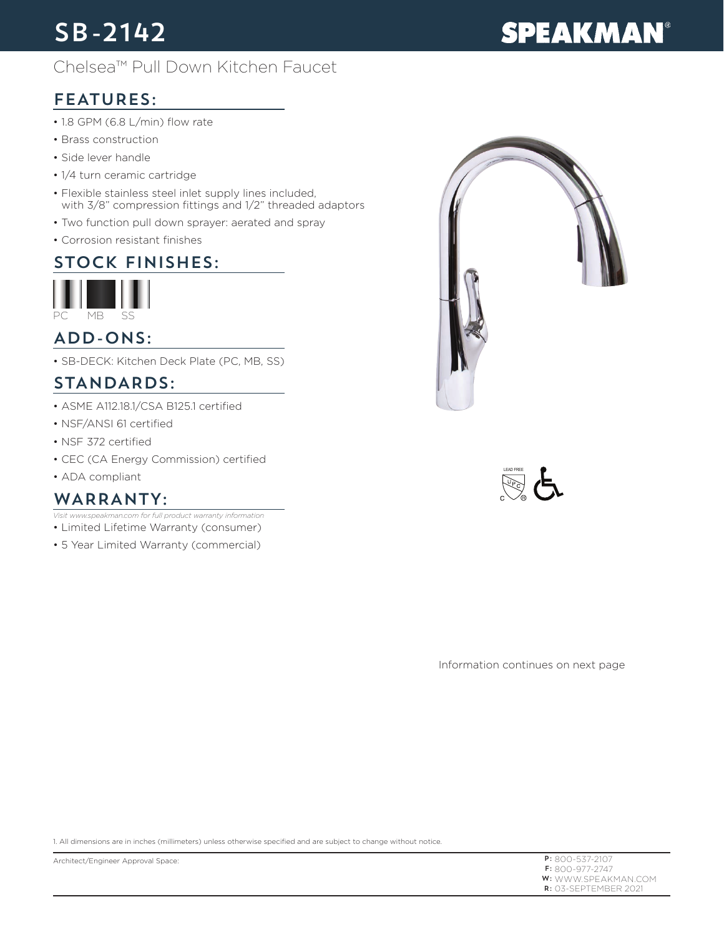# SB-2142

## Chelsea™ Pull Down Kitchen Faucet

# FEATURES:

- 1.8 GPM (6.8 L/min) flow rate
- Brass construction
- Side lever handle
- 1/4 turn ceramic cartridge
- Flexible stainless steel inlet supply lines included, with 3/8" compression fittings and 1/2" threaded adaptors
- Two function pull down sprayer: aerated and spray
- Corrosion resistant finishes

#### STOCK FINISHES:



## ADD-ONS:

• SB-DECK: Kitchen Deck Plate (PC, MB, SS)

### STANDARDS:

- ASME A112.18.1/CSA B125.1 certified
- NSF/ANSI 61 certified
- NSF 372 certified
- CEC (CA Energy Commission) certified
- ADA compliant

#### WARRANTY:

- *Visit www.speakman.com for full product warranty information*
- Limited Lifetime Warranty (consumer)
- 5 Year Limited Warranty (commercial)





Information continues on next page

1. All dimensions are in inches (millimeters) unless otherwise specified and are subject to change without notice.

P: 800-537-2107 F: 800-977-2747 **W:** WWW.SPEAKMAN.COM R: 03-SEPTEMBER 2021

# **SPEAKMAN®**